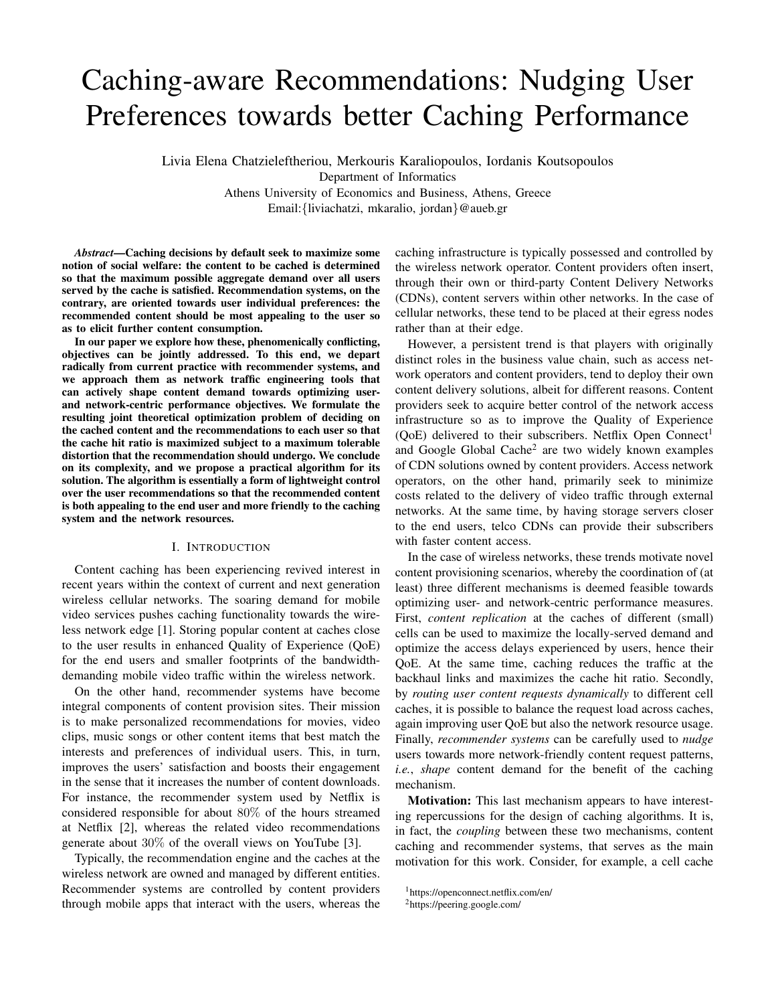# Caching-aware Recommendations: Nudging User Preferences towards better Caching Performance

Livia Elena Chatzieleftheriou, Merkouris Karaliopoulos, Iordanis Koutsopoulos

Department of Informatics

Athens University of Economics and Business, Athens, Greece

Email:{liviachatzi, mkaralio, jordan}@aueb.gr

*Abstract*—Caching decisions by default seek to maximize some notion of social welfare: the content to be cached is determined so that the maximum possible aggregate demand over all users served by the cache is satisfied. Recommendation systems, on the contrary, are oriented towards user individual preferences: the recommended content should be most appealing to the user so as to elicit further content consumption.

In our paper we explore how these, phenomenically conflicting, objectives can be jointly addressed. To this end, we depart radically from current practice with recommender systems, and we approach them as network traffic engineering tools that can actively shape content demand towards optimizing userand network-centric performance objectives. We formulate the resulting joint theoretical optimization problem of deciding on the cached content and the recommendations to each user so that the cache hit ratio is maximized subject to a maximum tolerable distortion that the recommendation should undergo. We conclude on its complexity, and we propose a practical algorithm for its solution. The algorithm is essentially a form of lightweight control over the user recommendations so that the recommended content is both appealing to the end user and more friendly to the caching system and the network resources.

## I. INTRODUCTION

Content caching has been experiencing revived interest in recent years within the context of current and next generation wireless cellular networks. The soaring demand for mobile video services pushes caching functionality towards the wireless network edge [1]. Storing popular content at caches close to the user results in enhanced Quality of Experience (QoE) for the end users and smaller footprints of the bandwidthdemanding mobile video traffic within the wireless network.

On the other hand, recommender systems have become integral components of content provision sites. Their mission is to make personalized recommendations for movies, video clips, music songs or other content items that best match the interests and preferences of individual users. This, in turn, improves the users' satisfaction and boosts their engagement in the sense that it increases the number of content downloads. For instance, the recommender system used by Netflix is considered responsible for about 80% of the hours streamed at Netflix [2], whereas the related video recommendations generate about 30% of the overall views on YouTube [3].

Typically, the recommendation engine and the caches at the wireless network are owned and managed by different entities. Recommender systems are controlled by content providers through mobile apps that interact with the users, whereas the caching infrastructure is typically possessed and controlled by the wireless network operator. Content providers often insert, through their own or third-party Content Delivery Networks (CDNs), content servers within other networks. In the case of cellular networks, these tend to be placed at their egress nodes rather than at their edge.

However, a persistent trend is that players with originally distinct roles in the business value chain, such as access network operators and content providers, tend to deploy their own content delivery solutions, albeit for different reasons. Content providers seek to acquire better control of the network access infrastructure so as to improve the Quality of Experience  $(QoE)$  delivered to their subscribers. Netflix Open Connect<sup>1</sup> and Google Global Cache<sup>2</sup> are two widely known examples of CDN solutions owned by content providers. Access network operators, on the other hand, primarily seek to minimize costs related to the delivery of video traffic through external networks. At the same time, by having storage servers closer to the end users, telco CDNs can provide their subscribers with faster content access.

In the case of wireless networks, these trends motivate novel content provisioning scenarios, whereby the coordination of (at least) three different mechanisms is deemed feasible towards optimizing user- and network-centric performance measures. First, *content replication* at the caches of different (small) cells can be used to maximize the locally-served demand and optimize the access delays experienced by users, hence their QoE. At the same time, caching reduces the traffic at the backhaul links and maximizes the cache hit ratio. Secondly, by *routing user content requests dynamically* to different cell caches, it is possible to balance the request load across caches, again improving user QoE but also the network resource usage. Finally, *recommender systems* can be carefully used to *nudge* users towards more network-friendly content request patterns, *i.e.*, *shape* content demand for the benefit of the caching mechanism.

Motivation: This last mechanism appears to have interesting repercussions for the design of caching algorithms. It is, in fact, the *coupling* between these two mechanisms, content caching and recommender systems, that serves as the main motivation for this work. Consider, for example, a cell cache

<sup>1</sup>https://openconnect.netflix.com/en/

<sup>2</sup>https://peering.google.com/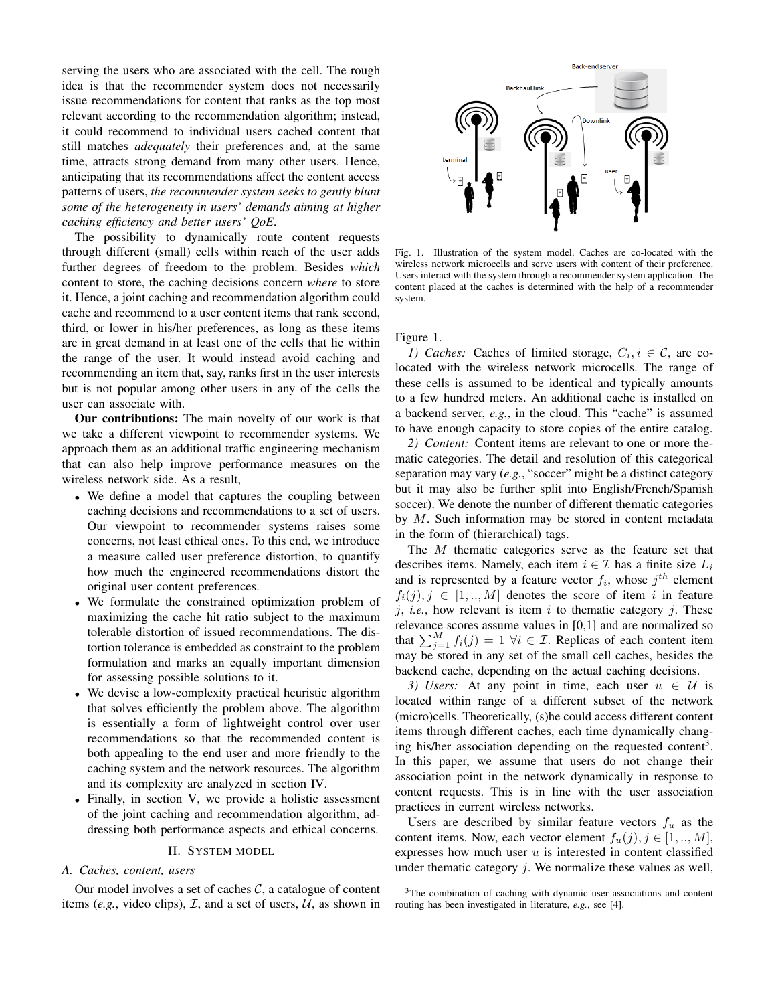serving the users who are associated with the cell. The rough idea is that the recommender system does not necessarily issue recommendations for content that ranks as the top most relevant according to the recommendation algorithm; instead, it could recommend to individual users cached content that still matches *adequately* their preferences and, at the same time, attracts strong demand from many other users. Hence, anticipating that its recommendations affect the content access patterns of users, *the recommender system seeks to gently blunt some of the heterogeneity in users' demands aiming at higher caching efficiency and better users' QoE*.

The possibility to dynamically route content requests through different (small) cells within reach of the user adds further degrees of freedom to the problem. Besides *which* content to store, the caching decisions concern *where* to store it. Hence, a joint caching and recommendation algorithm could cache and recommend to a user content items that rank second, third, or lower in his/her preferences, as long as these items are in great demand in at least one of the cells that lie within the range of the user. It would instead avoid caching and recommending an item that, say, ranks first in the user interests but is not popular among other users in any of the cells the user can associate with.

Our contributions: The main novelty of our work is that we take a different viewpoint to recommender systems. We approach them as an additional traffic engineering mechanism that can also help improve performance measures on the wireless network side. As a result,

- We define a model that captures the coupling between caching decisions and recommendations to a set of users. Our viewpoint to recommender systems raises some concerns, not least ethical ones. To this end, we introduce a measure called user preference distortion, to quantify how much the engineered recommendations distort the original user content preferences.
- We formulate the constrained optimization problem of maximizing the cache hit ratio subject to the maximum tolerable distortion of issued recommendations. The distortion tolerance is embedded as constraint to the problem formulation and marks an equally important dimension for assessing possible solutions to it.
- We devise a low-complexity practical heuristic algorithm that solves efficiently the problem above. The algorithm is essentially a form of lightweight control over user recommendations so that the recommended content is both appealing to the end user and more friendly to the caching system and the network resources. The algorithm and its complexity are analyzed in section IV.
- Finally, in section V, we provide a holistic assessment of the joint caching and recommendation algorithm, addressing both performance aspects and ethical concerns.

# II. SYSTEM MODEL

## *A. Caches, content, users*

Our model involves a set of caches  $\mathcal{C}$ , a catalogue of content items (*e.g.*, video clips),  $\mathcal{I}$ , and a set of users,  $\mathcal{U}$ , as shown in



Fig. 1. Illustration of the system model. Caches are co-located with the wireless network microcells and serve users with content of their preference. Users interact with the system through a recommender system application. The content placed at the caches is determined with the help of a recommender system.

Figure 1.

*1) Caches:* Caches of limited storage,  $C_i, i \in \mathcal{C}$ , are colocated with the wireless network microcells. The range of these cells is assumed to be identical and typically amounts to a few hundred meters. An additional cache is installed on a backend server, *e.g.*, in the cloud. This "cache" is assumed to have enough capacity to store copies of the entire catalog.

*2) Content:* Content items are relevant to one or more thematic categories. The detail and resolution of this categorical separation may vary (*e.g.*, "soccer" might be a distinct category but it may also be further split into English/French/Spanish soccer). We denote the number of different thematic categories by M. Such information may be stored in content metadata in the form of (hierarchical) tags.

The M thematic categories serve as the feature set that describes items. Namely, each item  $i \in \mathcal{I}$  has a finite size  $L_i$ and is represented by a feature vector  $f_i$ , whose  $j<sup>th</sup>$  element  $f_i(j), j \in [1, ..., M]$  denotes the score of item i in feature  $j$ , *i.e.*, how relevant is item  $i$  to thematic category  $j$ . These relevance scores assume values in [0,1] and are normalized so that  $\sum_{j=1}^{M} f_i(j) = 1 \ \forall i \in \mathcal{I}$ . Replicas of each content item may be stored in any set of the small cell caches, besides the backend cache, depending on the actual caching decisions.

*3) Users:* At any point in time, each user  $u \in U$  is located within range of a different subset of the network (micro)cells. Theoretically, (s)he could access different content items through different caches, each time dynamically changing his/her association depending on the requested content<sup>3</sup>. In this paper, we assume that users do not change their association point in the network dynamically in response to content requests. This is in line with the user association practices in current wireless networks.

Users are described by similar feature vectors  $f_u$  as the content items. Now, each vector element  $f_u(j), j \in [1, ..., M]$ , expresses how much user  $u$  is interested in content classified under thematic category  $j$ . We normalize these values as well,

<sup>&</sup>lt;sup>3</sup>The combination of caching with dynamic user associations and content routing has been investigated in literature, *e.g.*, see [4].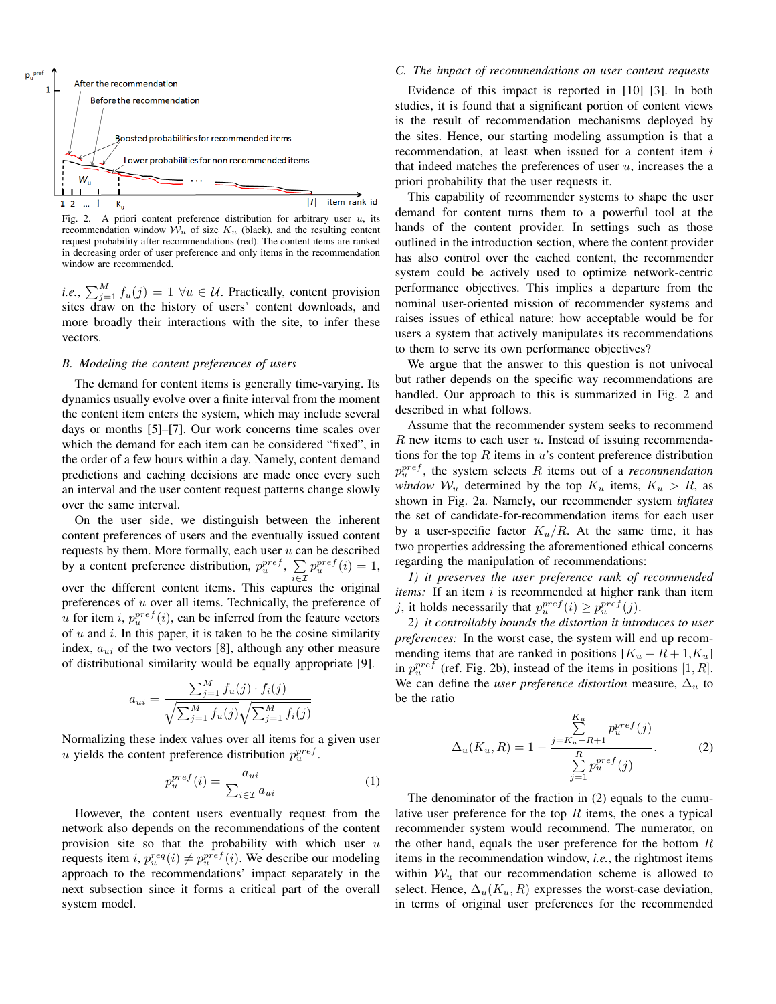

Fig. 2. A priori content preference distribution for arbitrary user  $u$ , its recommendation window  $\mathcal{W}_u$  of size  $K_u$  (black), and the resulting content request probability after recommendations (red). The content items are ranked in decreasing order of user preference and only items in the recommendation window are recommended.

*i.e.*,  $\sum_{j=1}^{M} f_u(j) = 1 \ \forall u \in \mathcal{U}$ . Practically, content provision sites draw on the history of users' content downloads, and more broadly their interactions with the site, to infer these vectors.

#### *B. Modeling the content preferences of users*

The demand for content items is generally time-varying. Its dynamics usually evolve over a finite interval from the moment the content item enters the system, which may include several days or months [5]–[7]. Our work concerns time scales over which the demand for each item can be considered "fixed", in the order of a few hours within a day. Namely, content demand predictions and caching decisions are made once every such an interval and the user content request patterns change slowly over the same interval.

On the user side, we distinguish between the inherent content preferences of users and the eventually issued content requests by them. More formally, each user  $u$  can be described by a content preference distribution,  $p_u^{pref}$ ,  $\sum$ i∈I  $p_u^{pref}(i)=1,$ over the different content items. This captures the original preferences of  $u$  over all items. Technically, the preference of u for item i,  $p_u^{pref}(i)$ , can be inferred from the feature vectors of  $u$  and  $i$ . In this paper, it is taken to be the cosine similarity index,  $a_{ui}$  of the two vectors [8], although any other measure of distributional similarity would be equally appropriate [9].

$$
a_{ui} = \frac{\sum_{j=1}^{M} f_u(j) \cdot f_i(j)}{\sqrt{\sum_{j=1}^{M} f_u(j)} \sqrt{\sum_{j=1}^{M} f_i(j)}}
$$

Normalizing these index values over all items for a given user u yields the content preference distribution  $p_u^{pref}$ .

$$
p_u^{pref}(i) = \frac{a_{ui}}{\sum_{i \in \mathcal{I}} a_{ui}} \tag{1}
$$

However, the content users eventually request from the network also depends on the recommendations of the content provision site so that the probability with which user  $u$ requests item *i*,  $p_u^{req}(i) \neq p_u^{pref}(i)$ . We describe our modeling approach to the recommendations' impact separately in the next subsection since it forms a critical part of the overall system model.

#### *C. The impact of recommendations on user content requests*

Evidence of this impact is reported in [10] [3]. In both studies, it is found that a significant portion of content views is the result of recommendation mechanisms deployed by the sites. Hence, our starting modeling assumption is that a recommendation, at least when issued for a content item  $i$ that indeed matches the preferences of user  $u$ , increases the a priori probability that the user requests it.

This capability of recommender systems to shape the user demand for content turns them to a powerful tool at the hands of the content provider. In settings such as those outlined in the introduction section, where the content provider has also control over the cached content, the recommender system could be actively used to optimize network-centric performance objectives. This implies a departure from the nominal user-oriented mission of recommender systems and raises issues of ethical nature: how acceptable would be for users a system that actively manipulates its recommendations to them to serve its own performance objectives?

We argue that the answer to this question is not univocal but rather depends on the specific way recommendations are handled. Our approach to this is summarized in Fig. 2 and described in what follows.

Assume that the recommender system seeks to recommend  $R$  new items to each user  $u$ . Instead of issuing recommendations for the top  $R$  items in  $u$ 's content preference distribution  $p_u^{pref}$ , the system selects R items out of a *recommendation window*  $W_u$  determined by the top  $K_u$  items,  $K_u > R$ , as shown in Fig. 2a. Namely, our recommender system *inflates* the set of candidate-for-recommendation items for each user by a user-specific factor  $K_u/R$ . At the same time, it has two properties addressing the aforementioned ethical concerns regarding the manipulation of recommendations:

*1) it preserves the user preference rank of recommended items:* If an item  $i$  is recommended at higher rank than item j, it holds necessarily that  $p_u^{pref}(i) \geq p_u^{pref}(j)$ .

*2) it controllably bounds the distortion it introduces to user preferences:* In the worst case, the system will end up recommending items that are ranked in positions  $[K_u - R + 1, K_u]$ in  $p_u^{pref}$  (ref. Fig. 2b), instead of the items in positions [1, R]. We can define the *user preference distortion* measure,  $\Delta_u$  to be the ratio

$$
\Delta_u(K_u, R) = 1 - \frac{\sum_{j=K_u-R+1}^{K_u} p_u^{pref}(j)}{\sum_{j=1}^R p_u^{pref}(j)}.
$$
 (2)

The denominator of the fraction in (2) equals to the cumulative user preference for the top  $R$  items, the ones a typical recommender system would recommend. The numerator, on the other hand, equals the user preference for the bottom  $R$ items in the recommendation window, *i.e.*, the rightmost items within  $W_u$  that our recommendation scheme is allowed to select. Hence,  $\Delta_u(K_u, R)$  expresses the worst-case deviation, in terms of original user preferences for the recommended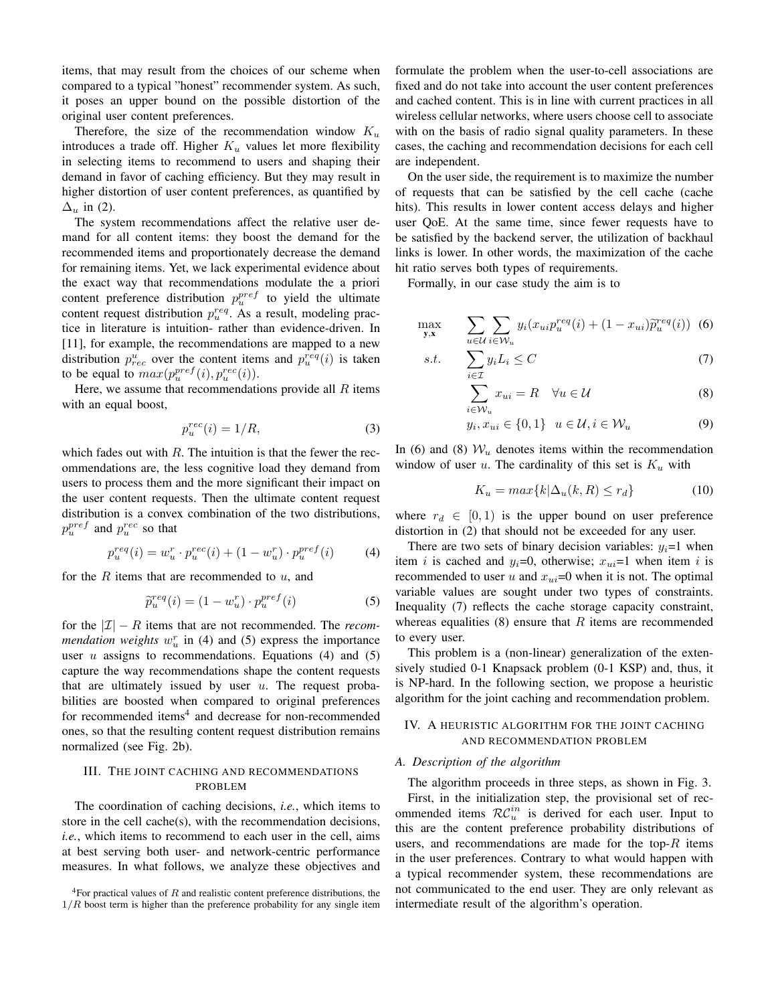items, that may result from the choices of our scheme when compared to a typical "honest" recommender system. As such, it poses an upper bound on the possible distortion of the original user content preferences.

Therefore, the size of the recommendation window  $K_u$ introduces a trade off. Higher  $K_u$  values let more flexibility in selecting items to recommend to users and shaping their demand in favor of caching efficiency. But they may result in higher distortion of user content preferences, as quantified by  $\Delta_u$  in (2).

The system recommendations affect the relative user demand for all content items: they boost the demand for the recommended items and proportionately decrease the demand for remaining items. Yet, we lack experimental evidence about the exact way that recommendations modulate the a priori content preference distribution  $p_u^{pref}$  to yield the ultimate content request distribution  $p_u^{req}$ . As a result, modeling practice in literature is intuition- rather than evidence-driven. In [11], for example, the recommendations are mapped to a new distribution  $p_{rec}^u$  over the content items and  $p_u^{req}(i)$  is taken to be equal to  $max(p_u^{pref}(i), p_u^{rec}(i)).$ 

Here, we assume that recommendations provide all  $R$  items with an equal boost,

$$
p_u^{rec}(i) = 1/R,\t\t(3)
$$

which fades out with  $R$ . The intuition is that the fewer the recommendations are, the less cognitive load they demand from users to process them and the more significant their impact on the user content requests. Then the ultimate content request distribution is a convex combination of the two distributions,  $p_u^{pref}$  and  $p_u^{rec}$  so that

$$
p_u^{req}(i) = w_u^r \cdot p_u^{rec}(i) + (1 - w_u^r) \cdot p_u^{pref}(i) \tag{4}
$$

for the  $R$  items that are recommended to  $u$ , and

$$
\widetilde{p}_u^{req}(i) = (1 - w_u^r) \cdot p_u^{pref}(i)
$$
\n(5)

for the  $|I| - R$  items that are not recommended. The *recommendation weights*  $w_u^r$  in (4) and (5) express the importance user  $u$  assigns to recommendations. Equations (4) and (5) capture the way recommendations shape the content requests that are ultimately issued by user  $u$ . The request probabilities are boosted when compared to original preferences for recommended items<sup>4</sup> and decrease for non-recommended ones, so that the resulting content request distribution remains normalized (see Fig. 2b).

# III. THE JOINT CACHING AND RECOMMENDATIONS PROBLEM

The coordination of caching decisions, *i.e.*, which items to store in the cell cache(s), with the recommendation decisions, *i.e.*, which items to recommend to each user in the cell, aims at best serving both user- and network-centric performance measures. In what follows, we analyze these objectives and formulate the problem when the user-to-cell associations are fixed and do not take into account the user content preferences and cached content. This is in line with current practices in all wireless cellular networks, where users choose cell to associate with on the basis of radio signal quality parameters. In these cases, the caching and recommendation decisions for each cell are independent.

On the user side, the requirement is to maximize the number of requests that can be satisfied by the cell cache (cache hits). This results in lower content access delays and higher user QoE. At the same time, since fewer requests have to be satisfied by the backend server, the utilization of backhaul links is lower. In other words, the maximization of the cache hit ratio serves both types of requirements.

Formally, in our case study the aim is to

$$
\max_{\mathbf{y}, \mathbf{x}} \qquad \sum_{u \in \mathcal{U}} \sum_{i \in \mathcal{W}_u} y_i (x_{ui} p_u^{req}(i) + (1 - x_{ui}) \widetilde{p}_u^{req}(i)) \tag{6}
$$

$$
s.t. \qquad \sum_{i \in \mathcal{I}} y_i L_i \le C \tag{7}
$$

$$
\sum_{i \in \mathcal{W}_u} x_{ui} = R \quad \forall u \in \mathcal{U}
$$
\n(8)

$$
y_i, x_{ui} \in \{0, 1\} \quad u \in \mathcal{U}, i \in \mathcal{W}_u \tag{9}
$$

In (6) and (8)  $W_u$  denotes items within the recommendation window of user u. The cardinality of this set is  $K_u$  with

$$
K_u = \max\{k | \Delta_u(k, R) \le r_d\} \tag{10}
$$

where  $r_d \in [0, 1)$  is the upper bound on user preference distortion in (2) that should not be exceeded for any user.

There are two sets of binary decision variables:  $y_i=1$  when item *i* is cached and  $y_i=0$ , otherwise;  $x_{ui}=1$  when item *i* is recommended to user u and  $x_{ui}=0$  when it is not. The optimal variable values are sought under two types of constraints. Inequality (7) reflects the cache storage capacity constraint, whereas equalities  $(8)$  ensure that R items are recommended to every user.

This problem is a (non-linear) generalization of the extensively studied 0-1 Knapsack problem (0-1 KSP) and, thus, it is NP-hard. In the following section, we propose a heuristic algorithm for the joint caching and recommendation problem.

# IV. A HEURISTIC ALGORITHM FOR THE JOINT CACHING AND RECOMMENDATION PROBLEM

#### *A. Description of the algorithm*

The algorithm proceeds in three steps, as shown in Fig. 3. First, in the initialization step, the provisional set of recommended items  $\mathcal{RC}_u^{in}$  is derived for each user. Input to this are the content preference probability distributions of users, and recommendations are made for the top- $R$  items in the user preferences. Contrary to what would happen with a typical recommender system, these recommendations are not communicated to the end user. They are only relevant as intermediate result of the algorithm's operation.

 ${}^{4}$ For practical values of R and realistic content preference distributions, the  $1/R$  boost term is higher than the preference probability for any single item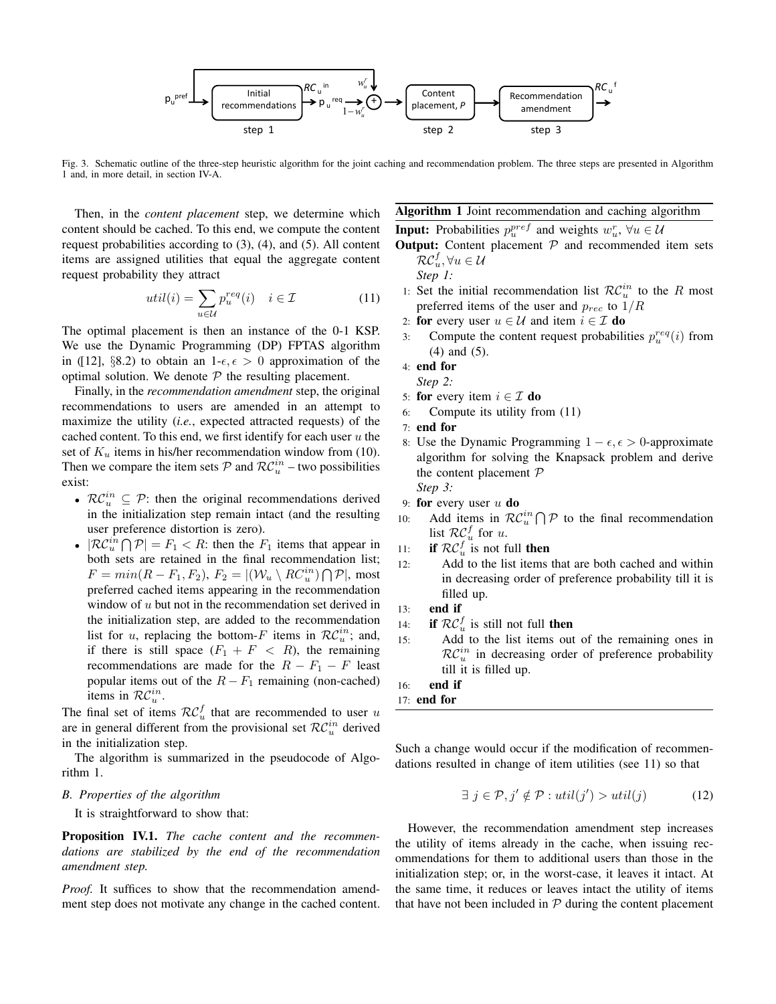

Fig. 3. Schematic outline of the three-step heuristic algorithm for the joint caching and recommendation problem. The three steps are presented in Algorithm 1 and, in more detail, in section IV-A.

Then, in the *content placement* step, we determine which content should be cached. To this end, we compute the content request probabilities according to (3), (4), and (5). All content items are assigned utilities that equal the aggregate content request probability they attract

$$
util(i) = \sum_{u \in \mathcal{U}} p_u^{req}(i) \quad i \in \mathcal{I}
$$
 (11)

The optimal placement is then an instance of the 0-1 KSP. We use the Dynamic Programming (DP) FPTAS algorithm in ([12], §8.2) to obtain an 1- $\epsilon, \epsilon > 0$  approximation of the optimal solution. We denote  $P$  the resulting placement.

Finally, in the *recommendation amendment* step, the original recommendations to users are amended in an attempt to maximize the utility (*i.e.*, expected attracted requests) of the cached content. To this end, we first identify for each user  $u$  the set of  $K_u$  items in his/her recommendation window from (10). Then we compare the item sets  $P$  and  $RC_u^{in}$  – two possibilities exist:

- $\mathcal{RC}_u^{in} \subseteq \mathcal{P}$ : then the original recommendations derived in the initialization step remain intact (and the resulting user preference distortion is zero).
- $|\mathcal{RC}_u^{in} \cap \mathcal{P}| = F_1 < R$ : then the  $F_1$  items that appear in both sets are retained in the final recommendation list;  $F = min(R - F_1, F_2), F_2 = |(\mathcal{W}_u \setminus RC_u^{in}) \bigcap \mathcal{P}|$ , most preferred cached items appearing in the recommendation window of  $u$  but not in the recommendation set derived in the initialization step, are added to the recommendation list for u, replacing the bottom- $F$  items in  $\mathcal{RC}_u^{in}$ ; and, if there is still space  $(F_1 + F < R)$ , the remaining recommendations are made for the  $R - F_1 - F$  least popular items out of the  $R - F_1$  remaining (non-cached) items in  $\mathcal{RC}_u^{in}$ .

The final set of items  $\mathcal{RC}_u^f$  that are recommended to user u are in general different from the provisional set  $\mathcal{RC}_u^{in}$  derived in the initialization step.

The algorithm is summarized in the pseudocode of Algorithm 1.

## *B. Properties of the algorithm*

It is straightforward to show that:

Proposition IV.1. *The cache content and the recommendations are stabilized by the end of the recommendation amendment step.*

*Proof.* It suffices to show that the recommendation amendment step does not motivate any change in the cached content.

# Algorithm 1 Joint recommendation and caching algorithm

**Input:** Probabilities  $p_u^{pref}$  and weights  $w_u^r$ ,  $\forall u \in \mathcal{U}$ 

**Output:** Content placement  $P$  and recommended item sets  $\mathcal{RC}_u^f, \forall u \in \mathcal{U}$ 

*Step 1:*

- 1: Set the initial recommendation list  $\mathcal{RC}_u^{in}$  to the R most preferred items of the user and  $p_{rec}$  to  $1/R$
- 2: for every user  $u \in \mathcal{U}$  and item  $i \in \mathcal{I}$  do
- 3: Compute the content request probabilities  $p_u^{req}(i)$  from (4) and (5).
- 4: end for

*Step 2:*

- 5: for every item  $i \in \mathcal{I}$  do
- 6: Compute its utility from (11)
- 7: end for
- 8: Use the Dynamic Programming  $1 \epsilon, \epsilon > 0$ -approximate algorithm for solving the Knapsack problem and derive the content placement  $P$ *Step 3:*
- 9: for every user  $u$  do
- 10: Add items in  $\mathcal{RC}_u^{in} \cap \mathcal{P}$  to the final recommendation list  $\mathcal{RC}_{u}^{f}$  for u.
- 11: **if**  $RC_u^f$  is not full **then**
- 12: Add to the list items that are both cached and within in decreasing order of preference probability till it is filled up.
- 13: end if
- 14: **if**  $RC_u^f$  is still not full **then**
- 15: Add to the list items out of the remaining ones in  $\mathcal{RC}^{in}_u$  in decreasing order of preference probability till it is filled up.

16: end if

17: end for

Such a change would occur if the modification of recommendations resulted in change of item utilities (see 11) so that

$$
\exists j \in \mathcal{P}, j' \notin \mathcal{P} : util(j') > util(j) \tag{12}
$$

However, the recommendation amendment step increases the utility of items already in the cache, when issuing recommendations for them to additional users than those in the initialization step; or, in the worst-case, it leaves it intact. At the same time, it reduces or leaves intact the utility of items that have not been included in  $P$  during the content placement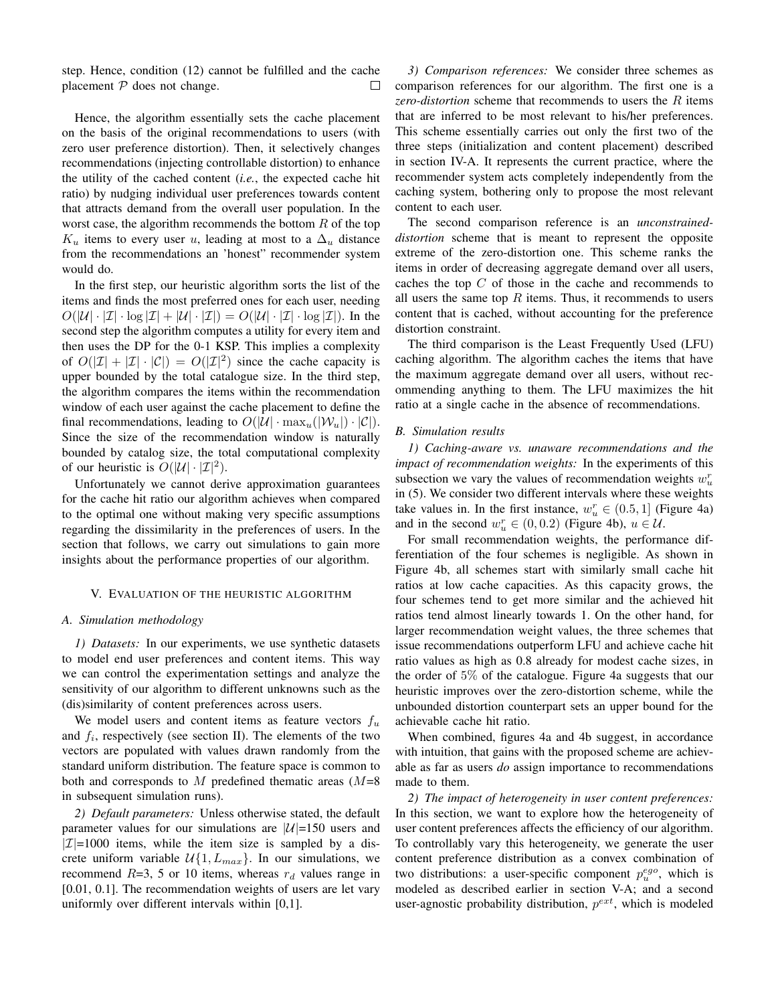step. Hence, condition (12) cannot be fulfilled and the cache placement  $P$  does not change.  $\Box$ 

Hence, the algorithm essentially sets the cache placement on the basis of the original recommendations to users (with zero user preference distortion). Then, it selectively changes recommendations (injecting controllable distortion) to enhance the utility of the cached content (*i.e.*, the expected cache hit ratio) by nudging individual user preferences towards content that attracts demand from the overall user population. In the worst case, the algorithm recommends the bottom  $R$  of the top  $K_u$  items to every user u, leading at most to a  $\Delta_u$  distance from the recommendations an 'honest" recommender system would do.

In the first step, our heuristic algorithm sorts the list of the items and finds the most preferred ones for each user, needing  $O(|\mathcal{U}| \cdot |\mathcal{I}| \cdot \log |\mathcal{I}| + |\mathcal{U}| \cdot |\mathcal{I}|) = O(|\mathcal{U}| \cdot |\mathcal{I}| \cdot \log |\mathcal{I}|)$ . In the second step the algorithm computes a utility for every item and then uses the DP for the 0-1 KSP. This implies a complexity of  $O(|\mathcal{I}| + |\mathcal{I}| \cdot |\mathcal{C}|) = O(|\mathcal{I}|^2)$  since the cache capacity is upper bounded by the total catalogue size. In the third step, the algorithm compares the items within the recommendation window of each user against the cache placement to define the final recommendations, leading to  $O(|\mathcal{U}| \cdot \max_u(|\mathcal{W}_u|) \cdot |\mathcal{C}|)$ . Since the size of the recommendation window is naturally bounded by catalog size, the total computational complexity of our heuristic is  $O(|\mathcal{U}| \cdot |\mathcal{I}|^2)$ .

Unfortunately we cannot derive approximation guarantees for the cache hit ratio our algorithm achieves when compared to the optimal one without making very specific assumptions regarding the dissimilarity in the preferences of users. In the section that follows, we carry out simulations to gain more insights about the performance properties of our algorithm.

#### V. EVALUATION OF THE HEURISTIC ALGORITHM

#### *A. Simulation methodology*

*1) Datasets:* In our experiments, we use synthetic datasets to model end user preferences and content items. This way we can control the experimentation settings and analyze the sensitivity of our algorithm to different unknowns such as the (dis)similarity of content preferences across users.

We model users and content items as feature vectors  $f_u$ and  $f_i$ , respectively (see section II). The elements of the two vectors are populated with values drawn randomly from the standard uniform distribution. The feature space is common to both and corresponds to  $M$  predefined thematic areas ( $M=8$ in subsequent simulation runs).

*2) Default parameters:* Unless otherwise stated, the default parameter values for our simulations are  $|\mathcal{U}|$ =150 users and  $|\mathcal{I}|$ =1000 items, while the item size is sampled by a discrete uniform variable  $\mathcal{U}\{1, L_{max}\}\$ . In our simulations, we recommend  $R=3$ , 5 or 10 items, whereas  $r_d$  values range in [0.01, 0.1]. The recommendation weights of users are let vary uniformly over different intervals within [0,1].

*3) Comparison references:* We consider three schemes as comparison references for our algorithm. The first one is a *zero-distortion* scheme that recommends to users the R items that are inferred to be most relevant to his/her preferences. This scheme essentially carries out only the first two of the three steps (initialization and content placement) described in section IV-A. It represents the current practice, where the recommender system acts completely independently from the caching system, bothering only to propose the most relevant content to each user.

The second comparison reference is an *unconstraineddistortion* scheme that is meant to represent the opposite extreme of the zero-distortion one. This scheme ranks the items in order of decreasing aggregate demand over all users, caches the top C of those in the cache and recommends to all users the same top  $R$  items. Thus, it recommends to users content that is cached, without accounting for the preference distortion constraint.

The third comparison is the Least Frequently Used (LFU) caching algorithm. The algorithm caches the items that have the maximum aggregate demand over all users, without recommending anything to them. The LFU maximizes the hit ratio at a single cache in the absence of recommendations.

#### *B. Simulation results*

*1) Caching-aware vs. unaware recommendations and the impact of recommendation weights:* In the experiments of this subsection we vary the values of recommendation weights  $w_u^r$ in (5). We consider two different intervals where these weights take values in. In the first instance,  $w_u^r \in (0.5, 1]$  (Figure 4a) and in the second  $w_u^r \in (0, 0.2)$  (Figure 4b),  $u \in \mathcal{U}$ .

For small recommendation weights, the performance differentiation of the four schemes is negligible. As shown in Figure 4b, all schemes start with similarly small cache hit ratios at low cache capacities. As this capacity grows, the four schemes tend to get more similar and the achieved hit ratios tend almost linearly towards 1. On the other hand, for larger recommendation weight values, the three schemes that issue recommendations outperform LFU and achieve cache hit ratio values as high as 0.8 already for modest cache sizes, in the order of 5% of the catalogue. Figure 4a suggests that our heuristic improves over the zero-distortion scheme, while the unbounded distortion counterpart sets an upper bound for the achievable cache hit ratio.

When combined, figures 4a and 4b suggest, in accordance with intuition, that gains with the proposed scheme are achievable as far as users *do* assign importance to recommendations made to them.

*2) The impact of heterogeneity in user content preferences:* In this section, we want to explore how the heterogeneity of user content preferences affects the efficiency of our algorithm. To controllably vary this heterogeneity, we generate the user content preference distribution as a convex combination of two distributions: a user-specific component  $p_u^{ego}$ , which is modeled as described earlier in section V-A; and a second user-agnostic probability distribution,  $p^{ext}$ , which is modeled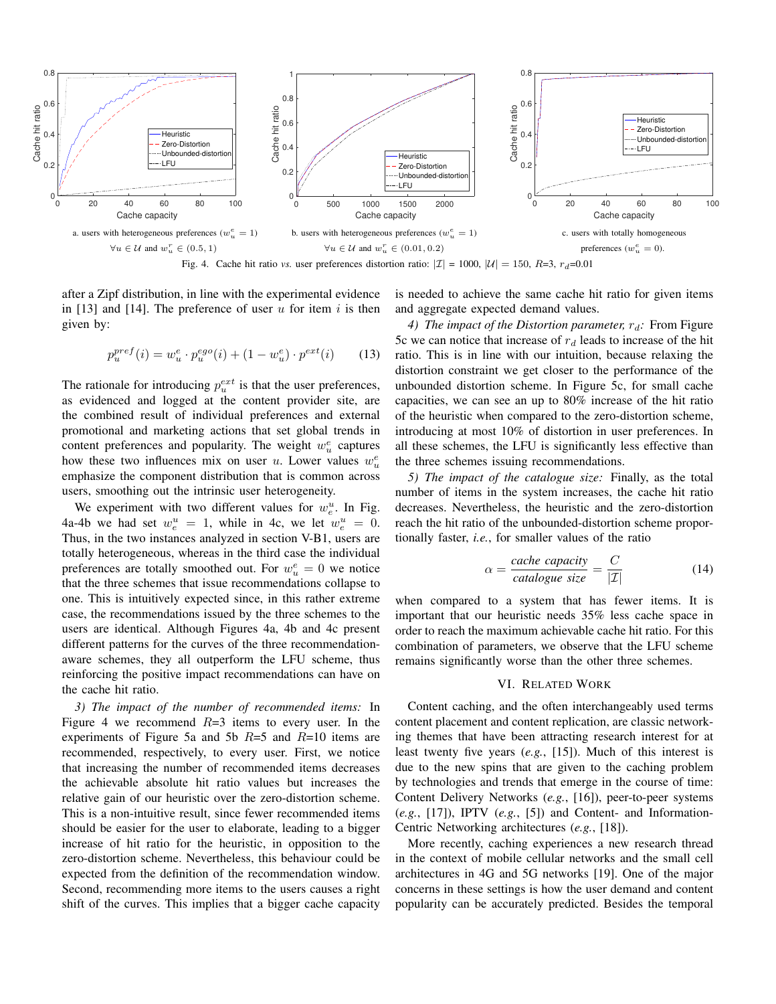

after a Zipf distribution, in line with the experimental evidence in [13] and [14]. The preference of user  $u$  for item  $i$  is then given by:

$$
p_u^{pref}(i) = w_u^e \cdot p_u^{ego}(i) + (1 - w_u^e) \cdot p^{ext}(i) \tag{13}
$$

The rationale for introducing  $p_u^{ext}$  is that the user preferences, as evidenced and logged at the content provider site, are the combined result of individual preferences and external promotional and marketing actions that set global trends in content preferences and popularity. The weight  $w_u^e$  captures how these two influences mix on user u. Lower values  $w_u^e$ emphasize the component distribution that is common across users, smoothing out the intrinsic user heterogeneity.

We experiment with two different values for  $w_e^u$ . In Fig. 4a-4b we had set  $w_e^u = 1$ , while in 4c, we let  $w_e^u = 0$ . Thus, in the two instances analyzed in section V-B1, users are totally heterogeneous, whereas in the third case the individual preferences are totally smoothed out. For  $w_u^e = 0$  we notice that the three schemes that issue recommendations collapse to one. This is intuitively expected since, in this rather extreme case, the recommendations issued by the three schemes to the users are identical. Although Figures 4a, 4b and 4c present different patterns for the curves of the three recommendationaware schemes, they all outperform the LFU scheme, thus reinforcing the positive impact recommendations can have on the cache hit ratio.

*3) The impact of the number of recommended items:* In Figure 4 we recommend  $R=3$  items to every user. In the experiments of Figure 5a and 5b  $R=5$  and  $R=10$  items are recommended, respectively, to every user. First, we notice that increasing the number of recommended items decreases the achievable absolute hit ratio values but increases the relative gain of our heuristic over the zero-distortion scheme. This is a non-intuitive result, since fewer recommended items should be easier for the user to elaborate, leading to a bigger increase of hit ratio for the heuristic, in opposition to the zero-distortion scheme. Nevertheless, this behaviour could be expected from the definition of the recommendation window. Second, recommending more items to the users causes a right shift of the curves. This implies that a bigger cache capacity is needed to achieve the same cache hit ratio for given items and aggregate expected demand values.

*4) The impact of the Distortion parameter,*  $r_d$ *:* From Figure 5c we can notice that increase of  $r_d$  leads to increase of the hit ratio. This is in line with our intuition, because relaxing the distortion constraint we get closer to the performance of the unbounded distortion scheme. In Figure 5c, for small cache capacities, we can see an up to 80% increase of the hit ratio of the heuristic when compared to the zero-distortion scheme, introducing at most 10% of distortion in user preferences. In all these schemes, the LFU is significantly less effective than the three schemes issuing recommendations.

*5) The impact of the catalogue size:* Finally, as the total number of items in the system increases, the cache hit ratio decreases. Nevertheless, the heuristic and the zero-distortion reach the hit ratio of the unbounded-distortion scheme proportionally faster, *i.e.*, for smaller values of the ratio

$$
\alpha = \frac{cache\ capacity}{catalogue\ size} = \frac{C}{|\mathcal{I}|} \tag{14}
$$

when compared to a system that has fewer items. It is important that our heuristic needs 35% less cache space in order to reach the maximum achievable cache hit ratio. For this combination of parameters, we observe that the LFU scheme remains significantly worse than the other three schemes.

## VI. RELATED WORK

Content caching, and the often interchangeably used terms content placement and content replication, are classic networking themes that have been attracting research interest for at least twenty five years (*e.g.*, [15]). Much of this interest is due to the new spins that are given to the caching problem by technologies and trends that emerge in the course of time: Content Delivery Networks (*e.g.*, [16]), peer-to-peer systems (*e.g.*, [17]), IPTV (*e.g.*, [5]) and Content- and Information-Centric Networking architectures (*e.g.*, [18]).

More recently, caching experiences a new research thread in the context of mobile cellular networks and the small cell architectures in 4G and 5G networks [19]. One of the major concerns in these settings is how the user demand and content popularity can be accurately predicted. Besides the temporal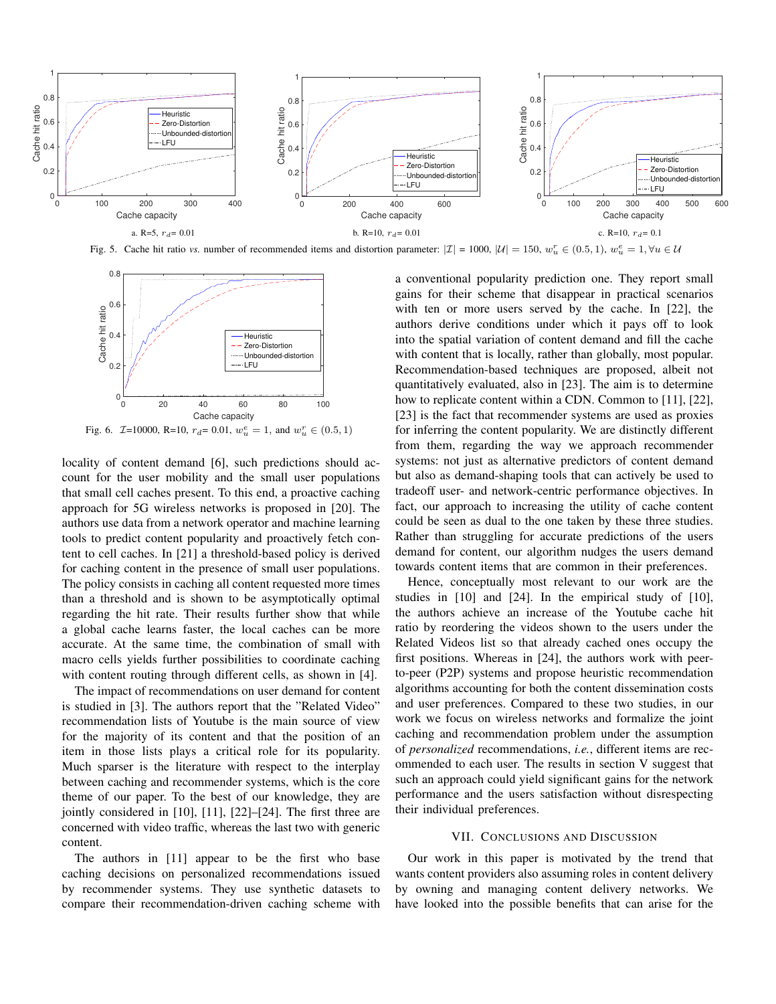



Fig. 6.  $\mathcal{I}$ =10000, R=10,  $r_d$ = 0.01,  $w_u^e = 1$ , and  $w_u^r \in (0.5, 1)$ 

locality of content demand [6], such predictions should account for the user mobility and the small user populations that small cell caches present. To this end, a proactive caching approach for 5G wireless networks is proposed in [20]. The authors use data from a network operator and machine learning tools to predict content popularity and proactively fetch content to cell caches. In [21] a threshold-based policy is derived for caching content in the presence of small user populations. The policy consists in caching all content requested more times than a threshold and is shown to be asymptotically optimal regarding the hit rate. Their results further show that while a global cache learns faster, the local caches can be more accurate. At the same time, the combination of small with macro cells yields further possibilities to coordinate caching with content routing through different cells, as shown in [4].

The impact of recommendations on user demand for content is studied in [3]. The authors report that the "Related Video" recommendation lists of Youtube is the main source of view for the majority of its content and that the position of an item in those lists plays a critical role for its popularity. Much sparser is the literature with respect to the interplay between caching and recommender systems, which is the core theme of our paper. To the best of our knowledge, they are jointly considered in [10], [11], [22]–[24]. The first three are concerned with video traffic, whereas the last two with generic content.

The authors in [11] appear to be the first who base caching decisions on personalized recommendations issued by recommender systems. They use synthetic datasets to compare their recommendation-driven caching scheme with a conventional popularity prediction one. They report small gains for their scheme that disappear in practical scenarios with ten or more users served by the cache. In [22], the authors derive conditions under which it pays off to look into the spatial variation of content demand and fill the cache with content that is locally, rather than globally, most popular. Recommendation-based techniques are proposed, albeit not quantitatively evaluated, also in [23]. The aim is to determine how to replicate content within a CDN. Common to [11], [22], [23] is the fact that recommender systems are used as proxies for inferring the content popularity. We are distinctly different from them, regarding the way we approach recommender systems: not just as alternative predictors of content demand but also as demand-shaping tools that can actively be used to tradeoff user- and network-centric performance objectives. In fact, our approach to increasing the utility of cache content could be seen as dual to the one taken by these three studies. Rather than struggling for accurate predictions of the users demand for content, our algorithm nudges the users demand towards content items that are common in their preferences.

Hence, conceptually most relevant to our work are the studies in [10] and [24]. In the empirical study of [10], the authors achieve an increase of the Youtube cache hit ratio by reordering the videos shown to the users under the Related Videos list so that already cached ones occupy the first positions. Whereas in [24], the authors work with peerto-peer (P2P) systems and propose heuristic recommendation algorithms accounting for both the content dissemination costs and user preferences. Compared to these two studies, in our work we focus on wireless networks and formalize the joint caching and recommendation problem under the assumption of *personalized* recommendations, *i.e.*, different items are recommended to each user. The results in section V suggest that such an approach could yield significant gains for the network performance and the users satisfaction without disrespecting their individual preferences.

# VII. CONCLUSIONS AND DISCUSSION

Our work in this paper is motivated by the trend that wants content providers also assuming roles in content delivery by owning and managing content delivery networks. We have looked into the possible benefits that can arise for the